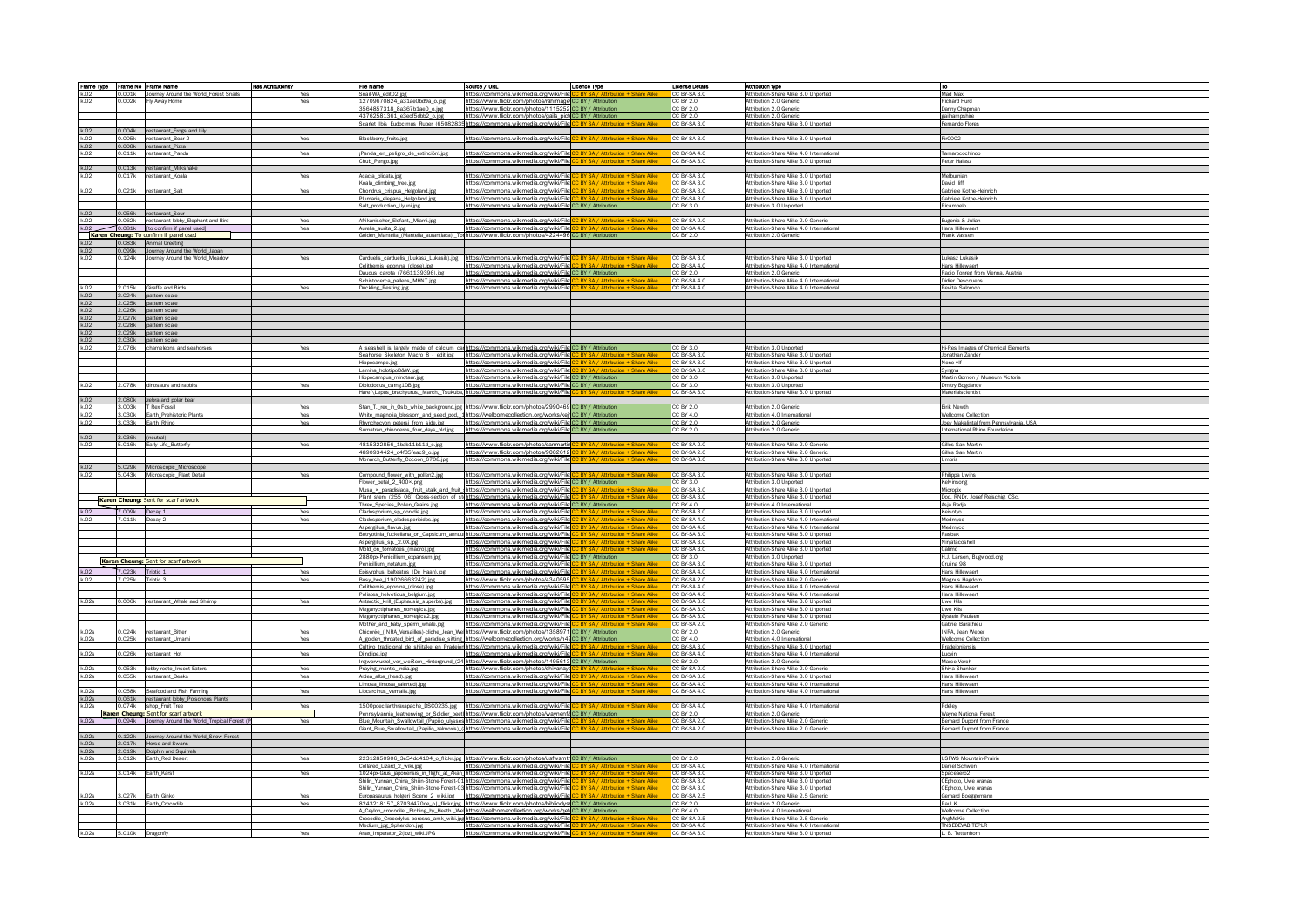|       |                  | Frame Type Frame No Frame Name                     | Has Attributions? | File Name                                                  | Source / URL                                                                                                                                                                                      | Licence Type                                                                         | License Details              | <b>Attribution type</b>                                                      | <u>To</u>                                          |
|-------|------------------|----------------------------------------------------|-------------------|------------------------------------------------------------|---------------------------------------------------------------------------------------------------------------------------------------------------------------------------------------------------|--------------------------------------------------------------------------------------|------------------------------|------------------------------------------------------------------------------|----------------------------------------------------|
| k.02  |                  | 0.001k Journey Around the World_Forest Snails      | Yes               | nail-WA_edit02.jpg                                         | https://commons.wikimedia.org/wiki/File                                                                                                                                                           |                                                                                      | CC BY-SA 3.0                 | Attribution-Share Alike 3.0 Unported                                         | Mad Max                                            |
| k.02  |                  | 0.002k Fly Away Home                               | Yes               | .2709670824_a31ae0bd9a_o.jpg                               | https://www.flickr.com/photos/rahimage CC BY / Attribution                                                                                                                                        |                                                                                      | CC BY 2.0                    | Attribution 2.0 Generic                                                      | Richard Hurd                                       |
|       |                  |                                                    |                   | 3564857318_8a367b1ae0_o.jpg                                | https://www.flickr.com/photos/1115252 CC BY / Attribution                                                                                                                                         |                                                                                      | CC BY 2.0                    | Attribution 2.0 Generic                                                      | Danny Chapman                                      |
|       |                  |                                                    |                   | 43762581361_e3ecf5dbb2_o.jpg                               | https://www.flickr.com/photos/gails_pict CC BY / Attribution                                                                                                                                      |                                                                                      | CC BY 2.0                    | Attribution 2.0 Generic                                                      | gailhampshire                                      |
|       |                  |                                                    |                   |                                                            | Scarlet_Ibis_Eudocimus_Ruber_(65082835 https://commons.wikimedia.org/wiki/File                                                                                                                    |                                                                                      | CC BY-SA 3.0                 | Attribution-Share Alike 3.0 Unported                                         | Fernando Flores                                    |
| k.02  |                  | 0.004k restaurant_Frogs and Lily                   |                   |                                                            |                                                                                                                                                                                                   |                                                                                      |                              |                                                                              |                                                    |
| k.02  |                  | 0.005k restaurant_Bear 2                           | Yes               | Blackberry_fruits.jpg                                      | https://commons.wikimedia.org/wiki/File <mark>l CC BY SA / Attribution + Share Alike</mark>                                                                                                       |                                                                                      | CC BY-SA 3.0                 | Attribution-Share Alike 3.0 Unported                                         | Fir0002                                            |
| k.02  |                  | 0.008k restaurant_Pizza                            |                   |                                                            |                                                                                                                                                                                                   |                                                                                      |                              |                                                                              |                                                    |
| k.02  |                  | 0.011k restaurant_Panda                            | Yes               | Panda_en_peligro_de_extinción!.jpg                         | https://commons.wikimedia.org/wiki/File                                                                                                                                                           | BY SA / Attribution + Share Alike                                                    | CC BY-SA 4.0                 | Attribution-Share Alike 4.0 International                                    | Tamarocochinop                                     |
|       |                  |                                                    |                   | hub_Pengo.jpg                                              | ttps://commons.wikimedia.org/wiki/File. <mark>(</mark>                                                                                                                                            | BY SA / Attribution + Share Alike                                                    | CC BY-SA 3.0                 | ttribution-Share Alike 3.0 Unported                                          | eter Halasz                                        |
| k.02  |                  | 0.013k restaurant_Milkshake                        |                   |                                                            |                                                                                                                                                                                                   |                                                                                      |                              |                                                                              |                                                    |
| k.02  |                  | 0.017k restaurant_Koala                            | Yes               | Acacia_plicata.jpg                                         | https://commons.wikimedia.org/wiki/File                                                                                                                                                           | SA / Attribution + Share Alike                                                       | CC BY-SA 3.0                 | Attribution-Share Alike 3.0 Unported                                         | Melburnian                                         |
|       |                  |                                                    |                   | (oala_climbing_tree.jpg                                    | https://commons.wikimedia.org/wiki/File <mark>l0</mark>                                                                                                                                           | BY SA / Attribution + Share Alike                                                    | CC BY-SA 3.0                 | Attribution-Share Alike 3.0 Unported                                         | David Iliff                                        |
| k.02  | 0.021k           | restaurant_Salt                                    | Yes               | Chondrus_crispus_Helgoland.jpg                             | https://commons.wikimedia.org/wiki/File. <mark>(</mark><br>https://commons.wikimedia.org/wiki/File                                                                                                | Y SA / Attribution + Share Alike                                                     | CC BY-SA 3.0<br>CC BY-SA 3.0 | Attribution-Share Alike 3.0 Unported<br>Attribution-Share Alike 3.0 Unported | Gabriele Kothe-Heinrich<br>Gabriele Kothe-Heinrich |
|       |                  |                                                    |                   | lumaria_elegans_Helgoland.jpg<br>Salt_production_Uyuni.jpg | https://commons.wikimedia.org/wiki/File CC BY / Attribution                                                                                                                                       |                                                                                      | CC BY 3.0                    | Attribution 3.0 Unported                                                     | Ricampelo                                          |
| k.02  |                  | 0.056k restaurant_Sour                             |                   |                                                            |                                                                                                                                                                                                   |                                                                                      |                              |                                                                              |                                                    |
| k.02  |                  | 0.062k restaurant lobby_Elephant and Bird          | Yes               | Afrikanischer_Elefant,_Miami.jpg                           | https://commons.wikimedia.org/wiki/File <mark>l</mark>                                                                                                                                            | Attribution + Share Alike                                                            | CC BY-SA 2.0                 | Attribution-Share Alike 2.0 Generic                                          | Eugenia & Julian                                   |
| k.02  |                  | 10.081k fto confirm if panel used                  | Yes               | Aurelia_aurita_2.jpg                                       | https://commons.wikimedia.org/wiki/File <mark>l</mark>                                                                                                                                            | BY SA / Attribution + Share Alike                                                    | CC BY-SA 4 0                 | Attribution-Share Alike 4.0 International                                    | Hans Hillewaert                                    |
|       |                  | Karen Cheung: To confirm if panel used             |                   | Golden_Mantella_(Mantella_aurantiaca),_T                   | https://www.flickr.com/photos/4224496 CC BY / Attribution                                                                                                                                         |                                                                                      | C BY 2.0                     | Attribution 2.0 Generic                                                      | Frank Vasser                                       |
| k.02  |                  | 0.083k Animal Greeting                             |                   |                                                            |                                                                                                                                                                                                   |                                                                                      |                              |                                                                              |                                                    |
| k.02  |                  | 0.099k Journey Around the World_Japan              |                   |                                                            |                                                                                                                                                                                                   |                                                                                      |                              |                                                                              |                                                    |
| k 02  |                  | 0.124k Journey Around the World_Meadow             | Yes               | Carduelis_carduelis_(Lukasz_Lukasik).jpg                   | https://commons.wikimedia.org/wiki/File                                                                                                                                                           | SA / Attribution + Share Alike                                                       | CC BY-SA 3.0                 | Attribution-Share Alike 3.0 Unported                                         | ukasz Lukasik                                      |
|       |                  |                                                    |                   | Celithemis_eponina_(close).jpg                             | https://commons.wikimedia.org/wiki/File                                                                                                                                                           | : BY SA / Attribution + Share Alike                                                  | CC BY-SA 4.0                 | Attribution-Share Alike 4.0 International                                    | Hans Hillewaert                                    |
|       |                  |                                                    |                   | Jaucus_carota_(7661139396).jpg                             | https://commons.wikimedia.org/wiki/File CC BY / Attribution                                                                                                                                       |                                                                                      | CC BY 2.0                    | Attribution 2.0 Generic                                                      | Radio Tonreg from Vienna, Austria                  |
|       |                  |                                                    |                   | Schistocerca_pallens_MHNT.jpg                              | https://commons.wikimedia.org/wiki/Filer <mark>i</mark>                                                                                                                                           | RV SA / Attribution + Sharp Alike                                                    | CC BY-SA 4.0                 | Attribution-Share Alike 4.0 International                                    | <b>Didier Descouens</b>                            |
|       |                  | 2.015k Giraffe and Birds                           | Yes               | Duckling_Resting.jpg                                       | nons.wikimedia.org/wiki/File                                                                                                                                                                      | Attribution + Share Alike                                                            | CC BY-SA 4.0                 | Attribution-Share Alike 4.0 International                                    | Revital Salomon                                    |
| k.02  |                  | 2.024k pattern scale                               |                   |                                                            |                                                                                                                                                                                                   |                                                                                      |                              |                                                                              |                                                    |
| k.02  |                  | 2.025k pattern scale                               |                   |                                                            |                                                                                                                                                                                                   |                                                                                      |                              |                                                                              |                                                    |
| k.02  |                  | 2.026k pattern scale                               |                   |                                                            |                                                                                                                                                                                                   |                                                                                      |                              |                                                                              |                                                    |
| k.02  |                  | 2.027k pattern scale                               |                   |                                                            |                                                                                                                                                                                                   |                                                                                      |                              |                                                                              |                                                    |
| k.02  |                  | 2.028k pattern scale<br>2.029k pattern scale       |                   |                                                            |                                                                                                                                                                                                   |                                                                                      |                              |                                                                              |                                                    |
|       |                  | 2.030k pattern scale                               |                   |                                                            |                                                                                                                                                                                                   |                                                                                      |                              |                                                                              |                                                    |
|       | 2.076k           | chameleons and seahorses                           | Yes               |                                                            | A_seashell_is_largely_made_of_calcium_cal https://commons.wikimedia.org/wiki/File CC BY / Attribution                                                                                             |                                                                                      | CC BY 3.0                    | <b>Attribution 3.0 Unported</b>                                              | Hi-Res Images of Chemical Elements                 |
|       |                  |                                                    |                   | Seahorse_Skeleton_Macro_8_-_edit.jpg                       | https://commons.wikimedia.org/wiki/File                                                                                                                                                           |                                                                                      | CC BY-SA 3.0                 | Attribution-Share Alike 3.0 Unported                                         | Jonathan Zander                                    |
|       |                  |                                                    |                   | Hippocampe.jpg                                             | https://commons.wikimedia.org/wiki/File                                                                                                                                                           |                                                                                      | CC BY-SA 3.0                 | Attribution-Share Alike 3.0 Unported                                         | Nono vif                                           |
|       |                  |                                                    |                   | .amina_holotipoB&W.jpg                                     | https://commons.wikimedia.org/wiki/File <mark>l</mark>                                                                                                                                            |                                                                                      | CC BY-SA 3.0                 | Attribution-Share Alike 3.0 Unported                                         | Syngna                                             |
|       |                  |                                                    |                   | Hippocampus_minotaur.jpg                                   | https://commons.wikimedia.org/wiki/File <mark>CC BY / Attribution</mark>                                                                                                                          |                                                                                      | CC BY 3.0                    | Attribution 3.0 Unported                                                     | Martin Gomon / Museum Victoria                     |
| k.02  |                  | 2.078k dinosaurs and rabbits                       | Yes               | Diplodocus_carng1DB.jpg                                    | https://commons.wikimedia.org/wiki/File CC BY / Attribution                                                                                                                                       |                                                                                      | CC BY 3.0                    | Attribution 3.0 Unported                                                     | Dmitry Bogdanov                                    |
|       |                  |                                                    |                   | lare \Lepus_brachyurus,_March,_Tsukub                      | ttos://commons.wikimedia.org/wiki/Filel <mark>l</mark>                                                                                                                                            |                                                                                      | CC BY-SA 3.0                 | Attribution-Share Alike 3.0 Unported                                         | Materialscientist                                  |
| k.02  |                  | 2.080k zebra and polar bear                        |                   |                                                            |                                                                                                                                                                                                   |                                                                                      |                              |                                                                              |                                                    |
| k.02  |                  | 3.003k T Rex Fossil                                | Yes               |                                                            | Stan_T._rex_in_Oslo_white_background.jpg https://www.flickr.com/photos/2990469 CC BY / Attribution                                                                                                |                                                                                      | CC BY 2.0                    | Attribution 2.0 Generic                                                      | Firik Newth                                        |
| k.02  |                  | 3.030k Earth_Prehistoric Plants                    | Yes               |                                                            | White_magnolia_blossom_and_seed_pod,_1 https://wellcomecollection.org/works/kejir <mark>.CC BY / Attribution</mark>                                                                               |                                                                                      | C BY 40                      | Attribution 4.0 International                                                | Wellcome Collection                                |
| k.02  |                  | 3.033k Earth Rhino                                 | Yes               | Rhynchocyon_petersi_from_side.jpg                          | https://commons.wikimedia.org/wiki/File CC BY / Attribution                                                                                                                                       |                                                                                      | CC BY 2.0                    | Attribution 2.0 Generic                                                      | Joey Makalintal from Pennsylvania, USA             |
|       |                  |                                                    |                   | Sumatran_rhinoceros_four_days_old.jpg                      | https://commons.wikimedia.org/wiki/FileLCC BY / Attribution                                                                                                                                       |                                                                                      | CC BY 2.0                    | Attribution 2.0 Generic                                                      | International Rhino Foundation                     |
| k.02  | 3.036k (neutral) |                                                    |                   |                                                            |                                                                                                                                                                                                   |                                                                                      |                              |                                                                              |                                                    |
| k 02  |                  | 5.016k Early Life Butterfly                        | Yes               | 4815322856_1bab11b11d_o.jpg                                | https://www.flickr.com/photos/sanmartin                                                                                                                                                           |                                                                                      | CC BY-SA 2.0                 | Attribution-Share Alike 2.0 Generic                                          | Gilles San Martin                                  |
|       |                  |                                                    |                   | 4890934424_d4f35feac9_o.jpg                                | https://www.flickr.com/photos/9082612                                                                                                                                                             | RV SA / Attribution + Sharp Alik                                                     | CC BY-SA 2.0                 | Attribution-Share Alike 2.0 Generic                                          | Gilles San Martin                                  |
|       |                  |                                                    |                   | Monarch Butterfly Cocoon 6708.ipg                          | https://commons.wikimedia.org/wiki/File                                                                                                                                                           |                                                                                      | CC BY-SA 3.0                 | Attribution-Share Alike 3.0 Unported                                         | Umbris                                             |
| k.02  |                  | 5.029k Microscopic Microscope                      |                   |                                                            |                                                                                                                                                                                                   |                                                                                      |                              |                                                                              |                                                    |
| k.02  |                  | 5.043k Microscopic Plant Detail                    | Yes               | compound flower with pollen2.ipg                           | https://commons.wikimedia.org/wiki/File                                                                                                                                                           |                                                                                      | CC BY-SA 3.0                 | Attribution-Share Alike 3.0 Unported                                         | Philippa Uwins                                     |
|       |                  |                                                    |                   | Flower petal 2 400×, png                                   | https://commons.wikimedia.org/wiki/File CC BY / Attribution                                                                                                                                       |                                                                                      | CC BY 3.0                    | Attribution 3.0 Unported                                                     | Kelvinsong                                         |
|       |                  |                                                    |                   | Musa × paradisiaca, fruit stalk and fruit                  | https://commons.wikimedia.org/wiki/File                                                                                                                                                           |                                                                                      | CC BY-SA 3.0                 | Attribution-Share Alike 3.0 Unported                                         | Micropix                                           |
|       |                  | Karen Cheung: Sent for scarf artwork               |                   | Three_Species_Pollen_Grains.jpg                            | Plant stem (255 06) Cross-section of strhttps://commons.wikimedia.org/wiki/File<br>https://commons.wikimedia.org/wiki/File                                                                        | C BY / Attribution                                                                   | CC BY-SA 3.0<br>CC BY 4.0    | Attribution-Share Alike 3.0 Unported<br>Attribution 4.0 International        | Doc. RNDr. Josef Reischig. CSc<br>Asja Radja       |
| k.02  | 7.009k Decay 1   |                                                    | Yes               | Cladosporium_sp_conidia.jpg                                | https://commons.wikimedia.org/wiki/File                                                                                                                                                           | BY SA / Attribution + Share Alike                                                    | CC BY-SA 3.0                 | Attribution-Share Alike 3.0 Unported                                         | Keisotyo                                           |
| k.02  |                  | .011k Decay 2                                      | Yes               | Cladosporium_cladosporioides.jpg                           | https://commons.wikimedia.org/wiki/File                                                                                                                                                           |                                                                                      | CC BY-SA 4.0                 | Attribution-Share Alike 4.0 International                                    | Medmyco                                            |
|       |                  |                                                    |                   | Aspergillus_flavus.jpg                                     | https://commons.wikimedia.org/wiki/File <mark>lC</mark>                                                                                                                                           | BY SA / Attribution + Share Alike                                                    | CC BY-SA 4.0                 | Attribution-Share Alike 4.0 International                                    | Medmyco                                            |
|       |                  |                                                    |                   | Botryotinia_fuckeliana_on_Capsicum_annu                    | https://commons.wikimedia.org/wiki/File                                                                                                                                                           |                                                                                      | CC BY-SA 3.0                 | Attribution-Share Alike 3.0 Unported                                         | Rasbak                                             |
|       |                  |                                                    |                   | Aspergillus_sp._2.0X.jpg                                   | https://commons.wikimedia.org/wiki/File                                                                                                                                                           | BY SA / Attribution + Share Alike                                                    | CC BY-SA 3.0                 | Attribution-Share Alike 3.0 Unported                                         | Ninjatacoshe                                       |
|       |                  |                                                    |                   | Mold_on_tomatoes_(macro).jpg                               | https://commons.wikimedia.org/wiki/File                                                                                                                                                           |                                                                                      | CC BY-SA 3.0                 | Attribution-Share Alike 3.0 Unported                                         |                                                    |
|       |                  |                                                    |                   | 2880px-Penicillium_expansum.jpg                            | https://commons.wikimedia.org/wiki/File CC BY / Attribution                                                                                                                                       |                                                                                      | CC BY 3.0                    | Attribution 3.0 Unported                                                     | H.J. Larsen, Bugwood.org                           |
|       |                  | Karen Cheung: Sent for scarf artwork               |                   | Penicillium_notatum.jpg                                    | https://commons.wikimedia.org/wiki/File                                                                                                                                                           |                                                                                      | CC BY-SA 3.0                 | Attribution-Share Alike 3.0 Unported                                         | Crulina 98                                         |
| k.02  | 7.023k Triptic 1 |                                                    | Yes               | Episyrphus_balteatus_(De_Haan).jpg                         | https://commons.wikimedia.org/wiki/File                                                                                                                                                           | <b>RY SA / Attribution + Share Alike</b>                                             | CC BY-SA 4.0                 | Attribution-Share Alike 4.0 International                                    | <b>Hans Hillewaert</b>                             |
| k 02  | 7.025k Triptic 3 |                                                    | Yes               | Busy_bee_(19026663242).jpg                                 | https://www.flickr.com/photos/4340595                                                                                                                                                             | RV SA / Attribution + Sharp Alike                                                    | CC BY-SA 2.0                 | Attribution-Share Alike 2.0 Generic                                          | Magnus Hagdom                                      |
|       |                  |                                                    |                   | Celithemis_eponina_(close).jpg                             | https://commons.wikimedia.org/wiki/File                                                                                                                                                           | BY SA / Attribution + Share Alike                                                    | CC BY-SA 4.0                 | Attribution-Share Alike 4.0 International                                    | <b>Hans Hillewaert</b>                             |
|       |                  |                                                    |                   | Polistes_helveticus_belgium.jpg                            | https://commons.wikimedia.org/wiki/File                                                                                                                                                           | IY SA / Attribution + Share Alike                                                    | CC BY-SA 4.0                 | Attribution-Share Alike 4.0 International                                    | <b>Hans Hillewaert</b>                             |
| k.02s |                  | 0.006k restaurant_Whale and Shrimp                 | Yes               | Antarctic_krill_(Euphausia_superba).jpg                    | https://commons.wikimedia.om/wiki/File                                                                                                                                                            | IY SA / Attribution + Share Alike                                                    | CC BY-SA 3.0                 | Attribution-Share Alike 3.0 Unported                                         | I Iwe Kils                                         |
|       |                  |                                                    |                   | Meganyctiphanes_norvegica.jpg                              | https://commons.wikimedia.org/wiki/File<br>https://commons.wikimedia.org/wiki/File                                                                                                                | <b>BY SA / Attribution + Share Alike</b><br>IY SA / Attribution + Share Alike        | CC BY-SA 3.0<br>CC BY-SA 3.0 | Attribution-Share Alike 3.0 Unported                                         | Uwe Kils                                           |
|       |                  |                                                    |                   | Meganyctiphanes_norvegica2.jpg                             | https://commons.wikimedia.org/wiki/Fileb                                                                                                                                                          | <b>BY SA / Attribution + Share Alike</b>                                             | CC BY-SA 2.0                 | Attribution-Share Alike 3.0 Unported<br>Attribution-Share Alike 2.0 Generic  | Øvstein Paulsen<br>Gabriel Barathieu               |
| k.02s |                  | 0.024k restaurant Bitter                           | Yes               | Mother_and_baby_sperm_whale.jpg                            | Chicorée (INRA Versailles)-cliche Jean We https://www.flickr.com/photos/1358971 CC BY / Attribution                                                                                               |                                                                                      | CC BY 2.0                    | Attribution 2.0 Generic                                                      | INRA Jean Weber                                    |
| k.02s |                  | 0.025k restaurant Umami                            | Yes               |                                                            | A golden throated bird of paradise sitting https://wellcomecollection.org/works/h49CCBY / Attribution                                                                                             |                                                                                      | CC BY 4.0                    | Attribution 4.0 International                                                | <b>Wellcome Collection</b>                         |
|       |                  |                                                    |                   |                                                            | Cultivo tradicional de shiitake en Pradeión https://commons.wikimedia.org/wiki/File                                                                                                               | BY SA / Attribution + Share Alike                                                    | CC BY-SA 3.0                 | Attribution-Share Alike 3.0 Unported                                         | Pradeioniensis                                     |
| k.02s |                  | 0.026k restaurant Hot                              | Yes               | Djindjipe.jpg                                              | https://commons.wikimedia.org/wiki/File                                                                                                                                                           | RY SA / Attribution + Share Alike                                                    | CC BY-SA 4.0                 | Attribution-Share Alike 4.0 International                                    | Lucvin                                             |
|       |                  |                                                    |                   |                                                            | Ingwerwurzel vor weißem Hintergrund (24 https://www.flickr.com/photos/1495613 CC BY / Attribution                                                                                                 |                                                                                      | CC BY 2.0                    | Attribution 2.0 Generic                                                      | Marco Verch                                        |
| k.02s |                  | 0.053k lobby resto Insect Eaters                   | Yes               | Praving mantis india.ipg                                   | https://www.flickr.com/photos/shivanaya                                                                                                                                                           | <b>BY SA / Attribution + Share Alike</b>                                             | CC BY-SA 2.0                 | Attribution-Share Alike 2.0 Generic                                          | Shiva Shankar                                      |
| k.02s | 0.055k           | restaurant_Beaks                                   | Yes               | Ardea_alba_(head).jpg                                      | https://commons.wikimedia.org/wiki/File                                                                                                                                                           |                                                                                      | CC BY-SA 3.0                 | Attribution-Share Alike 3.0 Unported                                         | Hans Hillewaert                                    |
|       |                  |                                                    |                   | .imosa_limosa_(alerted).jpg                                | ttos://commons.wikimedia.org/wiki/Filel <mark>l</mark>                                                                                                                                            | BY SA / Attribution + Share Alike                                                    | CC BY-SA 4.0                 | Attribution-Share Alike 4.0 International                                    | Hans Hillewaert                                    |
| k.02s |                  | 0.058k Seafood and Fish Farming                    | Yes               | iocarcinus_vernalis.jpg                                    | https://commons.wikimedia.org/wiki/File. <mark>1</mark>                                                                                                                                           | BY SA / Attribution + Share Alike                                                    | CC BY-SA 4.0                 | Attribution-Share Alike 4.0 International                                    | Hans Hillewaert                                    |
| k.02s |                  | 0.061k restaurant lobby_Poisonous Plants           |                   |                                                            |                                                                                                                                                                                                   |                                                                                      |                              |                                                                              |                                                    |
| k.02s |                  | 0.074k shop_Fruit Tree                             | Yes               | 500poecilanthraxapache_DSC0235.jpg                         | https://commons.wikimedia.org/wiki/File                                                                                                                                                           |                                                                                      | CC BY-SA 4.0                 | Attribution-Share Alike 4.0 International                                    | Pdeley                                             |
|       |                  | Karen Cheung: Sent for scarf artwork               |                   |                                                            | ennsylvannia_leatherwing_or_Soldier_beet  https://www.flickr.com/photos/waynenf/ CC BY / Attribution                                                                                              |                                                                                      | C BY 2.0                     | Attribution 2.0 Generic                                                      | Wayne National Forest                              |
| k.02s |                  | 1.094k Journey Around the World_Tropical Forest (P | Yes               |                                                            | Nue_Mountain_Swallowtail_(Papilio_ulysses https://commons.wikimedia.org/wiki/File                                                                                                                 |                                                                                      | CC BY-SA 2.0                 | Attribution-Share Alike 2.0 Generic                                          | Bernard Dupont from France                         |
|       |                  |                                                    |                   | iant_Blue_Swallowtail_(Papilio_zalmoxis)                   | https://commons.wikimedia.org/wiki/File                                                                                                                                                           | BY SA / Attribution + Share Alike                                                    | CC BY-SA 2.0                 | Attribution-Share Alike 2.0 Generic                                          | Bernard Dupont from France                         |
| k.02s |                  | 0.122k Journey Around the World_Snow Forest        |                   |                                                            |                                                                                                                                                                                                   |                                                                                      |                              |                                                                              |                                                    |
| k.02s |                  | 2.017k Horse and Swans                             |                   |                                                            |                                                                                                                                                                                                   |                                                                                      |                              |                                                                              |                                                    |
| k.02s |                  | 2.019k Dolphin and Squirre                         |                   |                                                            |                                                                                                                                                                                                   |                                                                                      |                              |                                                                              |                                                    |
| k.02s |                  | 3.012k Earth_Red Desert                            | Yes               |                                                            | 22312850906_3e54dc4104_o_flickr.jpg https://www.flickr.com/photos/usfwsmtr <mark>ICC BY / Attribution</mark>                                                                                      |                                                                                      | CC BY 2.0                    | Attribution 2.0 Generic                                                      | <b>USFWS Mountain-Prairie</b>                      |
|       |                  |                                                    |                   | lared_Lizard_2_wiki.jpg                                    | https://commons.wikimedia.org/wiki/File                                                                                                                                                           |                                                                                      | CC BY-SA 4.0                 | Attribution-Share Alike 4.0 International                                    | Daniel Schwen                                      |
| k.02s |                  | 3.014k Earth Karst                                 | Yes               |                                                            | L024px-Grus_japonensis_in_flight_at_Akan_https://commons.wikimedia.org/wiki/File                                                                                                                  | <b>IY SA / Attribution + Share Alike</b><br><b>RY SA / Attribution + Share Alike</b> | CC BY-SA 3.0<br>CC BY-SA 3.0 | Attribution-Share Alike 3.0 Unported                                         | Snaceaero2                                         |
|       |                  |                                                    |                   |                                                            | Shilin Yunnan China Shilin-Stone-Forest-01 https://commons.wikimedia.org/wiki/File                                                                                                                | <b>RY SA / Attribution + Share Alike</b>                                             | CC BY-SA 3.0                 | Attribution-Share Alike 3.0 Unported<br>Attribution-Share Alike 3.0 Unported | CEphoto, Uwe Aranas<br>CEphoto, Uwe Aranas         |
| k.02s |                  | 3.027k Earth Ginko                                 | Yes               |                                                            | Shilin_Yunnan_China_Shilin-Stone-Forest-03 https://commons.wikimedia.org/wiki/File                                                                                                                | RV SA / Attribution + Sharp Alike                                                    | CC BY-SA 2.5                 | Attribution-Share Alike 2.5 Generic                                          |                                                    |
| k.02s |                  | 3.031k Earth Crocodile                             | Yes               |                                                            | Europasaurus_holgeri_Scene_2_wiki.jpg  https://commons.wikimedia.org/wiki/Filel <mark>C</mark><br>8243218157_8703d470de_o _flickr.jpg https://www.flickr.com/photos/bibliodyssCC BY / Attribution |                                                                                      | CC BY 2 0                    | Attribution 2.0 Generic                                                      | Gerhard Boeggemann<br>Paul K                       |
|       |                  |                                                    |                   |                                                            | A_Ceylon_crocodile._Etching_by_Heath._We https://wellcomecollection.org/works/get CC BY / Attribution                                                                                             |                                                                                      | CC BY 4.0                    | Attribution 4.0 International                                                | <b>Wellcome Collection</b>                         |
|       |                  |                                                    |                   |                                                            | rocodile_Crocodylus-porosus_amk_wiki.jpg https://commons.wikimedia.org/wiki/File <mark>.</mark>                                                                                                   | BY SA / Attribution + Share Alike                                                    | CC BY-SA 2.5                 | Attribution-Share Alike 2.5 Generic                                          | AngMoKio                                           |
|       |                  |                                                    |                   | Medium_jpg_Sphendon.jpg                                    | https://commons.wikimedia.org/wiki/File                                                                                                                                                           | BY SA / Attribution + Share Alike                                                    | CC BY-SA 4.0                 | Attribution-Share Alike 4.0 International                                    | <b>TNSEDEVABITEPLF</b>                             |
| k.02s | 5.010k Dragonfly |                                                    | Yes               | Anax_Imperator_2(loz)_wiki.JPG                             | https://commons.wikimedia.org/wiki/File                                                                                                                                                           | C BY SA / Attribution + Share Alike                                                  | CC BY-SA 3.0                 | Attribution-Share Alike 3.0 Unported                                         | L. B. Tettenborn                                   |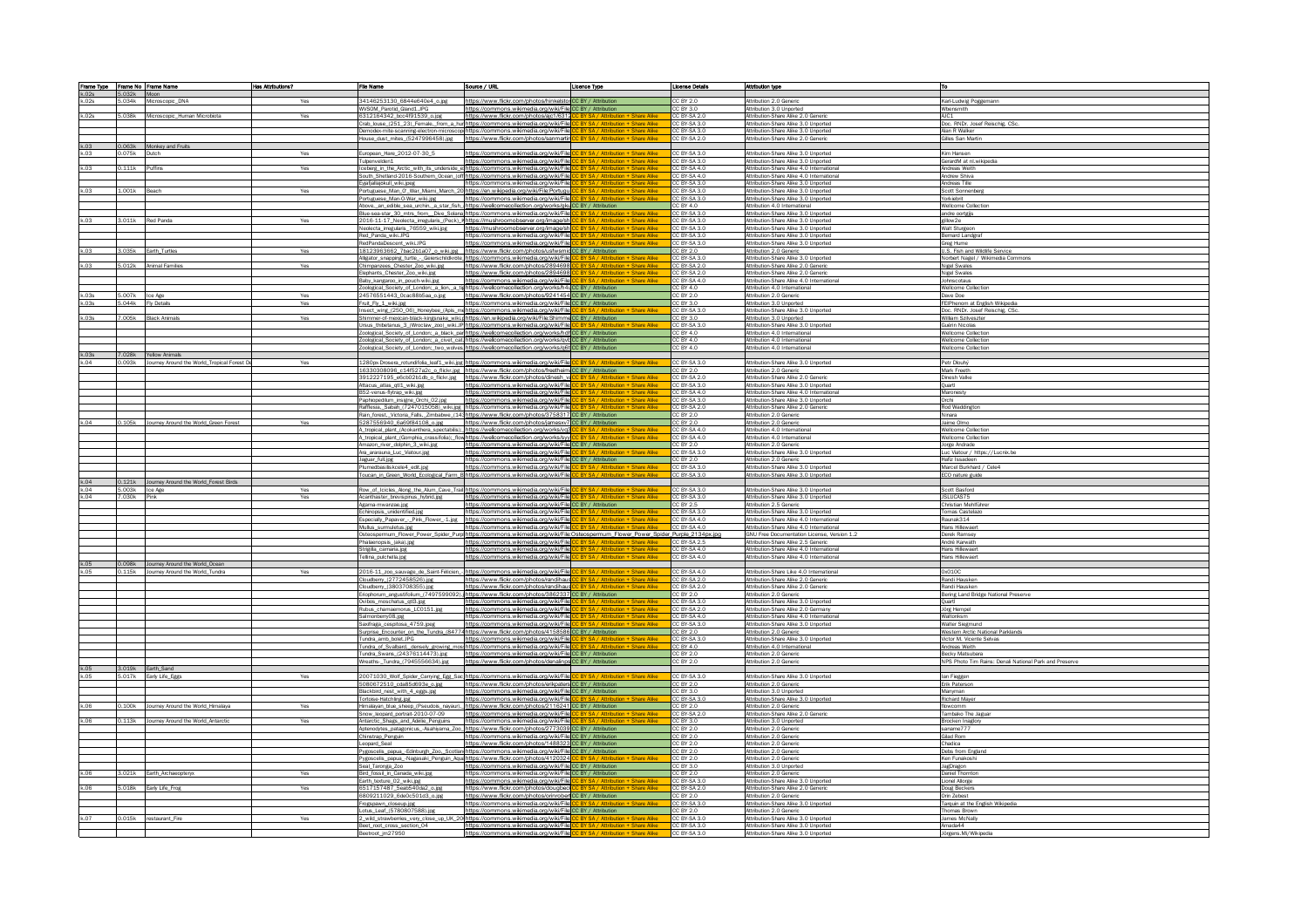|                |                | Frame Type Frame No Frame Name                   | Has Attributions? | <b>File Name</b>                                                       | Source / URL                                                                                                                                                                                                               | Licence Type                                                                  | License Details              | Attribution type                                                                  | lтo                                                              |
|----------------|----------------|--------------------------------------------------|-------------------|------------------------------------------------------------------------|----------------------------------------------------------------------------------------------------------------------------------------------------------------------------------------------------------------------------|-------------------------------------------------------------------------------|------------------------------|-----------------------------------------------------------------------------------|------------------------------------------------------------------|
| k.02s<br>k.02s | 5.032k Moon    | 5.034k Microscopic_DNA                           | Yes               | 34146253130_6844e640e4_o.jpg                                           | https://www.flickr.com/photos/hinkelstorCC BY / Attribution                                                                                                                                                                |                                                                               | CC BY 2.0                    | Attribution 2.0 Generic                                                           | Karl-Ludwig Poggemanr                                            |
|                |                |                                                  |                   | WVSOM_Parotid_Gland1.JPG                                               | https://commons.wikimedia.org/wiki/File CC BY / Attribution                                                                                                                                                                |                                                                               | CC BY 3.0                    | Attribution 3.0 Unported                                                          | Wbensmith                                                        |
| k.02s          |                | i.038k Microscopic_Human Microbiota              | Yes               | 6312164342_bcc4f91539_o.jpg                                            | https://www.flickr.com/photos/aic1/6312                                                                                                                                                                                    | BY SA / Attribution + Share Alike                                             | CC BY-SA 2.0<br>CC BY-SA 3.0 | Attribution-Share Alike 2.0 Generic                                               | AJC1                                                             |
|                |                |                                                  |                   |                                                                        | Crab_louse_(251_23)_Female,_from_a_hur https://commons.wikimedia.org/wiki/File<br>Demodex-mite-scanning-electron-microscop https://commons.wikimedia.org/wiki/File                                                         | BY SA / Attribution + Share Alike                                             | CC BY-SA 3.0                 | Attribution-Share Alike 3.0 Unported<br>Attribution-Share Alike 3.0 Unported      | Doc. RNDr. Josef Reischig, CSc.<br>Alan R Walker                 |
|                |                |                                                  |                   |                                                                        | House_dust_mites_(5247996458).jpg https://www.flickr.com/photos/sanmartin CC BY SA / Attribution + Share Alike                                                                                                             |                                                                               | CC BY-SA 2.0                 | Attribution-Share Alike 2.0 Generic                                               | Gilles San Martin                                                |
| k.03           |                | 0.063k Monkey and Fruits                         |                   |                                                                        |                                                                                                                                                                                                                            |                                                                               |                              |                                                                                   |                                                                  |
|                | 075k Dutch     |                                                  | Yes               | European_Hare_2012-07-30_5<br>Tulpenvelden1                            | https://commons.wikimedia.org/wiki/File CC BY SA / Attribution + Share Alike<br>https://commons.wikimedia.org/wiki/File CC BY SA / Attribution + Share Alike                                                               |                                                                               | CC BY-SA 3.0<br>CC BY-SA 3.0 | Attribution-Share Alike 3.0 Unported<br>Attribution-Share Alike 3.0 Unported      | Kim Hansen<br>GerardM at nl.wikipedia                            |
| k.03           | 0.111k Puffins |                                                  | Yes               |                                                                        | Iceberg_in_the_Arctic_with_its_underside_ethttps://commons.wikimedia.org/wiki/File CC BY SA / Attribution + Share Alike                                                                                                    |                                                                               | CC BY-SA 4.0                 | Attribution-Share Alike 4.0 International                                         | Andreas Weith                                                    |
|                |                |                                                  |                   |                                                                        | South_Shetland-2016-Southern_Ocean_(off https://commons.wikimedia.org/wiki/File                                                                                                                                            | BY SA / Attribution + Share Alike                                             | CC BY-SA 4.0                 | Attribution-Share Alike 4.0 International                                         | Andrew Shiva                                                     |
| k.03           | L.001k Beach   |                                                  | Yes               | Eyjafjallajökull_wiki.jpeg                                             | https://commons.wikimedia.org/wiki/File CC BY SA / Attribution + Share Alike<br>Portuguese_Man_0'_War_Miami_March_20 https://en.wikipedia.org/wiki/File:Portugul                                                           | BY SA / Attribution + Share Alike                                             | CC BY-SA 3.0<br>CC BY-SA 3.0 | Attribution-Share Alike 3.0 Unported<br>Attribution-Share Alike 3.0 Unported      | Andreas Tille<br>Scott Sonnenberg                                |
|                |                |                                                  |                   | Portuguese_Man-O-War_wiki.jpg                                          | https://commons.wikimedia.org/wiki/File                                                                                                                                                                                    | <b>RY SA / Attribution + Share Alike</b>                                      | CC BY-SA 3.0                 | Attribution-Share Alike 3.0 Unported                                              | Yorkiebrit                                                       |
|                |                |                                                  |                   |                                                                        | Above,_an_edible_sea_urchin,_a_star_fish_ https://wellcomecollection.org/works/gkuCC BY / Attribution                                                                                                                      |                                                                               | CC BY 4.0<br>CC BY-SA 3.0    | Attribution 4.0 International<br>Attribution-Share Alike 3.0 Unported             | Wellcome Collectio                                               |
| k.03           |                | 3.011k Red Panda                                 | Yes               |                                                                        | Blue-sea-star_30_mtrs_from_Dive_Solana https://commons.wikimedia.org/wiki/File C<br>2016-11-17_Neolecta_irregularis_(Peck)_hhttps://mushroomobserver.org/image/sho                                                         | BY SA / Attribution + Share Alike                                             | CC BY-SA 3.0                 | Attribution-Share Alike 3.0 Unported                                              | andre oortgijs<br>gillow2e                                       |
|                |                |                                                  |                   | Neolecta_irregularis_76559_wiki.jpg                                    | https://mushroomobserver.org/image/sh                                                                                                                                                                                      | <b>BY SA / Attribution + Share Alike</b>                                      | CC BY-SA 3.0                 | Attribution-Share Alike 3.0 Unported                                              | <b>Walt Sturgeon</b>                                             |
|                |                |                                                  |                   | Red_Panda_wiki.JPG                                                     | https://commons.wikimedia.org/wiki/File<br>https://commons.wikimedia.org/wiki/File                                                                                                                                         | <b>RY SA / Attribution + Share Alike</b>                                      | CC BY-SA 3.0                 | Attribution-Share Alike 3.0 Unported                                              | <b>Bernard Landgraf</b>                                          |
| k.03           |                | 3.035k Earth_Turtles                             | Yes               | RedPandaDescent_wiki.JPG                                               | 18123963662_7bac2b1a07_o_wiki.jpg https://www.flickr.com/photos/usfwsmidCCBY/Attribution                                                                                                                                   |                                                                               | CC BY-SA 3.0<br>CC BY 2.0    | Attribution-Share Alike 3.0 Unported<br>Attribution 2.0 Generic                   | Greg Hume<br>U.S. Fish and Wildlife Service                      |
|                |                |                                                  |                   |                                                                        | Alligator_snapping_turtle_-_Geierschildkröte_https://commons.wikimedia.org/wiki/File CC BY SA / Attribution + Share Alike                                                                                                  |                                                                               | CC BY-SA 3.0                 | Attribution-Share Alike 3.0 Unported                                              | Norbert Nagel / Wikimedia Commons                                |
| k.03           |                | 5.012k Animal Families                           | Yes               | Chimpanzees_Chester_Zoo_wiki.jpg                                       | https://www.flickr.com/photos/2894698                                                                                                                                                                                      | RY SA / Attribution + Share Alike                                             | CC BY-SA 2.0                 | Attribution-Share Alike 2.0 Generic                                               | <b>Nigel Swales</b>                                              |
|                |                |                                                  |                   | Elephants_Chester_Zoo_wiki.jpg<br>Baby_kangaroo_in_pouch-wiki.jpg      | https://www.flickr.com/photos/2894698<br>https://commons.wikimedia.org/wiki/File                                                                                                                                           | <b>BY SA / Attribution + Share Alike</b>                                      | CC BY-SA 2.0<br>CC BY-SA 4.0 | Attribution-Share Alike 2.0 Generic<br>Attribution-Share Alike 4.0 International  | Nigel Swales<br>Johnscotaus                                      |
|                |                |                                                  |                   |                                                                        | Zoological_Society_of_London;_a_lion,_a_tis https://wellcomecollection.org/works/h4t CC BY / Attribution                                                                                                                   |                                                                               | CC BY 4.0                    | Attribution 4.0 International                                                     | <b>Wellcome Collection</b>                                       |
| k.03s          | 5.007k Ice Age |                                                  | Yes               | 24576551443_0cac88b5aa_o.jpg                                           | https://www.flickr.com/photos/9241454 CC BY / Attribution                                                                                                                                                                  |                                                                               | CC BY 2.0                    | Attribution 2.0 Generic                                                           | Dave Doe                                                         |
| k.03s          |                | 5.044k Fly Details                               | Yes               | Fruit_Fly_1_wiki.jpg                                                   | https://commons.wikimedia.org/wiki/File CC BY / Attribution<br>Insect_wing_(250_06)_Honeybee_(Apis_me https://commons.wikimedia.org/wiki/File CC BY SA                                                                     |                                                                               | CC BY 3.0<br>CC BY-SA 3.0    | Attribution 3.0 Unported<br>Attribution-Share Alike 3.0 Unported                  | FEIPhenom at English Wikipedia<br>Doc. RNDr. Josef Reischig, CSc |
| k.03s          | .005k          | <b>Black Animals</b>                             | Yes               |                                                                        | Shimmer-of-mexican-black-kingsnake_wiki.ghttps://en.wikipedia.org/wiki/File:Shimme CC BY / Attribution                                                                                                                     |                                                                               | CC BY 3.0                    | Attribution 3.0 Unported                                                          | William Szilveszter                                              |
|                |                |                                                  |                   |                                                                        | Ursus_thibetanus_3_(Wroclaw_zoo)_wiki.JP https://commons.wikimedia.org/wiki/File CC BY SA / Attribution                                                                                                                    |                                                                               | CC BY-SA 3.0                 | Attribution-Share Alike 3.0 Unported                                              | Guérin Nicolas                                                   |
|                |                |                                                  |                   |                                                                        | Zoological_Society_of_London;_a_black_parthttps://wellcomecollection.org/works/hdhCC BY / Attribution<br>Zoological_Society_of_London;_a_civet_cat.https://wellcomecollection.org/works/qvb CC BY / Attribution            |                                                                               | CC BY 4.0<br>CC BY 4.0       | Attribution 4.0 International<br>Attribution 4.0 International                    | Wellcome Collection<br>Wellcome Collection                       |
|                |                |                                                  |                   |                                                                        | Zoological_Society_of_London;_two_wolves https://wellcomecollection.org/works/q6t CC BY / Attribution                                                                                                                      |                                                                               | CC BY 4.0                    | Attribution 4.0 International                                                     | Wellcome Collection                                              |
| k.03s          |                | 7.028k Yellow Animals                            |                   |                                                                        |                                                                                                                                                                                                                            |                                                                               |                              |                                                                                   |                                                                  |
| k.04           |                | .093k Journey Around the World_Tropical Forest D | Yes               |                                                                        | 1280px-Drosera_rotundifolia_leaf1_wiki.jpg https://commons.wikimedia.org/wiki/File<br>16330308096_c14f527a2c_o_flickr.jpg https://www.flickr.com/photos/freetheim.CC BY / Attribution                                      |                                                                               | CC BY-SA 3.0<br>C BY 2.0     | Attribution-Share Alike 3.0 Unported<br>Attribution 2.0 Generic                   | Petr Dlouhý<br>Mark Freeth                                       |
|                |                |                                                  |                   |                                                                        | 3912227195_e6cb02b1db_o_flickr.jpg https://www.flickr.com/photos/dinesh_vaC                                                                                                                                                |                                                                               | CC BY-SA 2.0                 | Attribution-Share Alike 2.0 Generi                                                | Dinesh Valke                                                     |
|                |                |                                                  |                   | Attacus_atlas_qtl1_wiki.jpg                                            | https://commons.wikimedia.org/wiki/File CC BY SA / Attribution + Share Alike                                                                                                                                               |                                                                               | CC BY-SA 3.0                 | Attribution-Share Alike 3.0 Unported                                              | Quartl                                                           |
|                |                |                                                  |                   | B52-venus-flytrap_wiki.jpg<br>Paphiopedilum_insigne_Orchi_02.jpg       | https://commons.wikimedia.org/wiki/File<br>https://commons.wikimedia.org/wiki/File CC BY SA / Attribution + Share Alike                                                                                                    | <b>BY SA / Attribution + Share Alike</b>                                      | CC BY-SA 4.0<br>CC BY-SA 3.0 | Attribution-Share Alike 4.0 International<br>Attribution-Share Alike 3.0 Unported | Maronesty<br>Orchi                                               |
|                |                |                                                  |                   |                                                                        | Rafflesia,_Sabah_(7247015058)_wiki.jpg https://commons.wikimedia.org/wiki/File                                                                                                                                             | RV SA / Attribution + Sharp Alike                                             | CC BY-SA 2.0                 | Attribution-Share Alike 2.0 Generi                                                | Rod Waddington                                                   |
|                |                |                                                  |                   |                                                                        | Rain_forest,_Victoria_Falls,_Zimbabwe_(141https://www.flickr.com/photos/3758317 CC BY / Attribution                                                                                                                        |                                                                               | C BY 2.0                     | Attribution 2.0 Generic                                                           | Ninara                                                           |
| k.04           |                | 0.105k Journey Around the World_Green Forest     | Yes               | 5287556940_6a69f84108_o.jpg                                            | https://www.flickr.com/photos/jamesxv7 CC BY / Attribution<br>A_tropical_plant_(Acokanthera_spectabilis); https://wellcomecollection.org/works/vq3                                                                         | BY SA / Attribution + Share Alike                                             | CC BY 2.0<br>CC BY-SA 4.0    | Attribution 2.0 Generic<br>Attribution 4.0 International                          | Jaime Olmo<br><b>Wellcome Collection</b>                         |
|                |                |                                                  |                   |                                                                        | A_tropical_plant_(Gomphia_crassifolia);_flow https://wellcomecollection.org/works/syy                                                                                                                                      | <b>RV SA / Attribution + Sharp Alike</b>                                      | CC BY-SA 4.0                 | Attribution 4.0 International                                                     | <b>Wellcome Collection</b>                                       |
|                |                |                                                  |                   | Amazon_river_dolphin_3_wiki.jpg                                        | https://commons.wikimedia.org/wiki/File CC BY / Attribution                                                                                                                                                                |                                                                               | C BY 2.0                     | Attribution 2.0 Generic                                                           | Jorge Andrade                                                    |
|                |                |                                                  |                   | Ara_ararauna_Luc_Viatour.jpg<br>Jaguar_full.jpg                        | https://commons.wikimedia.org/wiki/File<br>https://commons.wikimedia.org/wiki/File CC BY / Attribution                                                                                                                     |                                                                               | CC BY-SA 3.0<br>CC BY 2.0    | Attribution-Share Alike 3.0 Unported<br>Attribution 2.0 Generic                   | Luc Viatour / https://Lucnix.<br>Hafiz Issadeen                  |
|                |                |                                                  |                   | Plumedbasiliskcele4_edit.jpg                                           | https://commons.wikimedia.org/wiki/File CC BY SA / Attribution + Share Alike                                                                                                                                               |                                                                               | CC BY-SA 3.0                 | Attribution-Share Alike 3.0 Unported                                              | Marcel Burkhard / Cele4                                          |
|                |                |                                                  |                   |                                                                        | Toucan_in_Green_World_Ecological_Farm_B https://commons.wikimedia.org/wiki/File CC BY SA / Attribution + Share Alike                                                                                                       |                                                                               | CC BY-SA 3.0                 | Attribution-Share Alike 3.0 Unported                                              | ECO nature guide                                                 |
| k.04<br>k.04   | 5.003k Ice Age | 0.121k Journey Around the World_Forest Birds     | Yes               |                                                                        | Row_of_Icicles_Along_the_Alum_Cave_Trail https://commons.wikimedia.org/wiki/File CC BY SA / Attribution + Share Alike                                                                                                      |                                                                               | CC BY-SA 3.0                 | Attribution-Share Alike 3.0 Unported                                              | Scott Basford                                                    |
| k.04           | 7.030k Pink    |                                                  | Yes               | Acanthaster_brevispinus_hybrid.jpg                                     | https://commons.wikimedia.org/wiki/File CC BY SA / Attribution + Share Alike                                                                                                                                               |                                                                               | CC BY-SA 3.0                 | Attribution-Share Alike 3.0 Unported                                              | JSLUCAS75                                                        |
|                |                |                                                  |                   | Agama-mwanzae.jpg                                                      | https://commons.wikimedia.org/wiki/File CC BY / Attribution                                                                                                                                                                |                                                                               | CC BY 2.5                    | Attribution 2.5 Generic                                                           | Christian Mehlführer                                             |
|                |                |                                                  |                   | Echinopsis_unidentified.jpg                                            | https://commons.wikimedia.org/wiki/File<br>Especially_Papaver_-_Pink_Flower_-1.jpg https://commons.wikimedia.org/wiki/File                                                                                                 | C BY SA / Attribution + Share Alike<br>BY SA / Attribution + Share Alike      | CC BY-SA 3.0<br>CC BY-SA 4.0 | Attribution-Share Alike 3.0 Unported<br>Attribution-Share Alike 4.0 International | <b>Tomas Castelaz</b><br>Raunak314                               |
|                |                |                                                  |                   | Mullus_surmuletus.jpg                                                  | https://commons.wikimedia.org/wiki/File CC BY SA / Attribution + Share Alike                                                                                                                                               |                                                                               | CC BY-SA 4.0                 | Attribution-Share Alike 4.0 International                                         | Hans Hillewaert                                                  |
|                |                |                                                  |                   |                                                                        | Osteospermum_Flower_Power_Spider_Purp https://commons.wikimedia.org/wiki/File:Osteospermum_Flower_Power_Spider_Purple_2134px.jpc                                                                                           |                                                                               |                              | GNU Free Documentation License, Version 1.2                                       | Derek Ramsey                                                     |
|                |                |                                                  |                   | Phalaenopsis_(aka).jpg<br>Strigilla_carnaria.jpg                       | https://commons.wikimedia.org/wiki/File <mark>.C</mark><br>https://commons.wikimedia.org/wiki/File <mark>.C</mark>                                                                                                         | BY SA / Attribution + Share Alike<br><b>BY SA / Attribution + Share Alike</b> | CC BY-SA 2.5<br>CC BY-SA 4.0 | Attribution-Share Alike 2.5 Generic<br>Attribution-Share Alike 4.0 International  | André Karwath<br>Hans Hillewaert                                 |
|                |                |                                                  |                   | Tellina_pulchella.jpg                                                  | https://commons.wikimedia.org/wiki/File CC BY SA / Attribution + Share Alike                                                                                                                                               |                                                                               | CC BY-SA 4.0                 | Attribution-Share Alike 4.0 International                                         | <b>Hans Hillewaert</b>                                           |
| k.05           |                | 0.098k Journey Around the World_Ocean            |                   |                                                                        |                                                                                                                                                                                                                            |                                                                               |                              |                                                                                   |                                                                  |
| k.05           |                | 0.115k Journey Around the World_Tundra           | Yes               | 2016-11_zoo_sauvage_de_Saint-Félicien_-<br>Cloudberry_(2772458526).jpg | https://commons.wikimedia.org/wiki/File.CI<br>https://www.flickr.com/photos/randihaus <mark> C</mark>                                                                                                                      | BY SA / Attribution + Share Alike                                             | CC BY-SA 4.0<br>CC BY-SA 2.0 | Attribution-Share Like 4.0 International<br>Attribution-Share Alike 2.0 Generic   | 0x010C<br>Randi Hausker                                          |
|                |                |                                                  |                   | Cloudberry_(3803708355).jpg                                            | https://www.flickr.com/photos/randihaus                                                                                                                                                                                    | BY SA / Attribution + Share Alike                                             | CC BY-SA 2.0                 | Attribution-Share Alike 2.0 Generic                                               | Randi Hausker                                                    |
|                |                |                                                  |                   | Eriophorum_angustifolium_(749759909.                                   | https://www.flickr.com/photos/3862337 CC BY / Attribution                                                                                                                                                                  |                                                                               | C BY 2.0                     | Attribution 2.0 Generic                                                           | Bering Land Bridge National Preserve                             |
|                |                |                                                  |                   | Ovibos_moschatus_qtl3.jpg<br>Rubus_chamaemorus_LC0151.jpg              | https://commons.wikimedia.org/wiki/File<br>https://commons.wikimedia.org/wiki/File                                                                                                                                         | BY SA / Attribution + Share Alike<br>BY SA / Attribution + Share Alike        | CC BY-SA 3.0<br>CC BY-SA 2.0 | Attribution-Share Alike 3.0 Unported<br>Attribution-Share Alike 2.0 Germany       | Quartl<br>Jörg Hempel                                            |
|                |                |                                                  |                   | Salmonberry08.jpg                                                      | https://commons.wikimedia.org/wiki/File CC BY SA / Attribution + Share Alike                                                                                                                                               |                                                                               | CC BY-SA 4.0                 | Attribution-Share Alike 4.0 International                                         | Waltonksm                                                        |
|                |                |                                                  |                   | Saxifraga_cespitosa_4759.jpeg                                          | https://commons.wikimedia.org/wiki/File                                                                                                                                                                                    |                                                                               | CC BY-SA 3.0                 | Attribution-Share Alike 3.0 Unported                                              | <b>Walter Siegmund</b>                                           |
|                |                |                                                  |                   | Tundra_amb_bolet.JPG                                                   | Surprise_Encounter_on_the_Tundra_(84774 https://www.flickr.com/photos/4158586 CC BY / Attribution<br>https://commons.wikimedia.org/wiki/File                                                                               | <b>BY SA / Attribution + Share Alike</b>                                      | CC BY 2.0<br>CC BY-SA 3.0    | Attribution 2.0 Generic<br>Attribution-Share Alike 3.0 Unported                   | Western Arctic National Parklands<br>Victor M. Vicente Selvas    |
|                |                |                                                  |                   |                                                                        | Tundra_of_Svalbard,_densely_growing_mosi https://commons.wikimedia.org/wiki/File  <mark>C</mark>                                                                                                                           | BY SA / Attribution + Share Alike                                             | CC BY 4.0                    | Attribution 4.0 International                                                     | Andreas Weith                                                    |
|                |                |                                                  |                   | Tundra_Swans_(24376114473).jpg                                         | https://commons.wikimedia.org/wiki/File CC BY / Attribution                                                                                                                                                                |                                                                               | CC BY 2.0                    | Attribution 2.0 Generic                                                           | <b>Becky Matsubara</b>                                           |
| k.05           |                | 3.019k Earth_Sand                                |                   | Wreaths-_Tundra_(7945556634).jpg                                       | https://www.flickr.com/photos/denalinps CC BY / Attribution                                                                                                                                                                |                                                                               | CC BY 2.0                    | Attribution 2.0 Generic                                                           | NPS Photo Tim Rains: Denali National Park and Preserve           |
| k.05           |                | 5.017k Early Life_Eggs                           | Yes               |                                                                        | 20071030_Wolf_Spider_Carrying_Egg_Sac https://commons.wikimedia.org/wiki/File                                                                                                                                              |                                                                               | CC BY-SA 3.0                 | Attribution-Share Alike 3.0 Unported                                              | lan Fieggen                                                      |
|                |                |                                                  |                   | 5080672510_cda85d693e_o.jpg                                            | https://www.flickr.com/photos/erikpaters CC BY / Attribution                                                                                                                                                               |                                                                               | CC BY 2.0                    | Attribution 2.0 Generic                                                           | Erik Paterson                                                    |
|                |                |                                                  |                   | Blackbird_nest_with_4_eggs.jpg<br>Tortoise-Hatchling.jpg               | https://commons.wikimedia.org/wiki/File CC BY / Attribution<br>https://commons.wikimedia.org/wiki/FileLCC BY SA / Attribution + Share Alike                                                                                |                                                                               | CC BY 3.0<br>CC BY-SA 3.0    | Attribution 3.0 Unported<br>Attribution-Share Alike 3.0 Unported                  | Manyman<br><b>Richard Mayer</b>                                  |
| k.06           |                | 0.100k Journey Around the World Himalaya         | Yes               |                                                                        | Himalayan_blue_sheep_(Pseudois_nayaur), https://www.flickr.com/photos/2116241 CC BY / Attribution                                                                                                                          |                                                                               | CC BY 2.0                    | Attribution 2.0 Generic                                                           | flowcomm                                                         |
|                |                |                                                  |                   | Snow_leopard_portrait-2010-07-09                                       | https://commons.wikimedia.org/wiki/File CC BY SA / Attribution + Share Alike                                                                                                                                               |                                                                               | CC BY-SA 2.0                 | Attribution-Share Alike 2.0 Generic                                               | Tambako The Jaguar                                               |
| k.06           |                | 0.113k Journey Around the World_Antarctic        | Yes               | Antarctic_Shags_and_Adélie_Penguins                                    | https://commons.wikimedia.org/wiki/File<br>Aptenodytes_patagonicus_-Asahiyama_Zoo_ https://www.flickr.com/photos/2773039 CC BY / Attribution                                                                               |                                                                               | CC BY 3.0<br>CC BY 2.0       | Attribution 3.0 Unported<br>Attribution 2.0 Generic                               | Brocken Inaglory<br>saname777                                    |
|                |                |                                                  |                   | Chinstrap_Penguin                                                      | https://commons.wikimedia.org/wiki/File CC BY / Attribution                                                                                                                                                                |                                                                               | CC BY 2.0                    | Attribution 2.0 Generic                                                           | Gilad Rom                                                        |
|                |                |                                                  |                   | Leopard_Seal                                                           | https://www.flickr.com/photos/1488323 CC BY / Attribution                                                                                                                                                                  |                                                                               | CC BY 2.0                    | Attribution 2.0 Generic                                                           | Chadica                                                          |
|                |                |                                                  |                   |                                                                        | Pygoscelis_papua_-Edinburgh_Zoo,_Scotlan https://commons.wikimedia.org/wiki/File CC BY / Attribution<br>Pygoscelis_papua_-Nagasaki_Penguin_Aqua https://www.flickr.com/photos/4120324 CC BY SA / Attribution + Share Alike |                                                                               | CC BY 2.0<br>CC BY 2.0       | Attribution 2.0 Generic<br>Attribution 2.0 Generic                                | Debs from England<br>Ken Funakoshi                               |
|                |                |                                                  |                   | Seal_Taronga_Zoo                                                       | https://commons.wikimedia.org/wiki/File CC BY / Attribution                                                                                                                                                                |                                                                               | CC BY 3.0                    | Attribution 3.0 Unported                                                          | JagDragon                                                        |
| k.06           |                | 3.021k Earth_Archaeopteryx                       | Yes               | Bird_fossil_in_Canada_wiki.jpg                                         | https://commons.wikimedia.org/wiki/File CC BY / Attribution                                                                                                                                                                |                                                                               | CC BY 2.0                    | Attribution 2.0 Generic                                                           | Daniel Thornton                                                  |
| k.06           |                | 5.018k Early Life_Frog                           | Yes               | Earth_texture_02_wiki.jpg<br>6517157487_5eab540da2_o.jpg               | https://commons.wikimedia.org/wiki/File<br>https://www.flickr.com/photos/dougbecl CC BY SA / Attribution + Share Alike                                                                                                     | BY SA / Attribution + Share Alike                                             | CC BY-SA 3.0<br>CC BY-SA 2.0 | Attribution-Share Alike 3.0 Unported<br>Attribution-Share Alike 2.0 Generic       | Lionel Allorge<br>Doug Beckers                                   |
|                |                |                                                  |                   | 6809211029_6de0c501d3_o.jpg                                            | https://www.flickr.com/photos/orinrobert CC BY / Attribution                                                                                                                                                               |                                                                               | CC BY 2.0                    | Attribution 2.0 Generic                                                           | Orin Zebest                                                      |
|                |                |                                                  |                   | Frogspawn_closeup.jpg                                                  | https://commons.wikimedia.org/wiki/File CC BY SA / Attribution + Share Alike                                                                                                                                               |                                                                               | CC BY-SA 3.0                 | Attribution-Share Alike 3.0 Unported                                              | Tarquin at the English Wikipedia                                 |
| k.07           |                | 0.015k restaurant_Fire                           | Yes               | Lotus_Leaf_(5780807588).jpg                                            | https://commons.wikimedia.org/wiki/File CC BY / Attribution<br>2_wild_strawberries_very_close_up_UK_20 https://commons.wikimedia.org/wiki/File CC BY SA / Attribution + Share Alike                                        |                                                                               | CC BY 2.0<br>CC BY-SA 3.0    | Attribution 2.0 Generic<br>Attribution-Share Alike 3.0 Unported                   | Thomas Brow<br>James McNally                                     |
|                |                |                                                  |                   | Beet_root_cross_section_04                                             | https://commons.wikimedia.org/wiki/File                                                                                                                                                                                    | <b>BY SA / Attribution + Share Alike</b>                                      | CC BY-SA 3.0                 | Attribution-Share Alike 3.0 Unported                                              | Amada44                                                          |
|                |                |                                                  |                   | Beetroot im27950                                                       | https://commons.wikimedia.org/wiki/File CC BY SA / Attribution + Share Alike                                                                                                                                               |                                                                               | CC BY-SA 3.0                 | Attribution-Share Alike 3.0 Unported                                              | Jörgens. Mi/Wikipedia                                            |